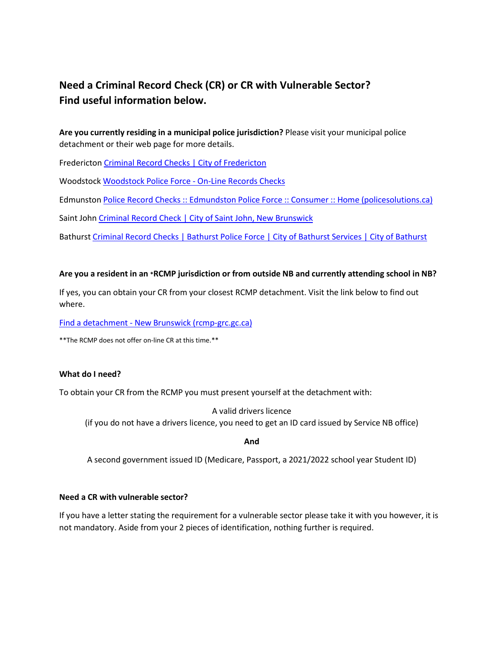# **Need a Criminal Record Check (CR) or CR with Vulnerable Sector? Find useful information below.**

**Are you currently residing in a municipal police jurisdiction?** Please visit your municipal police detachment or their web page for more details.

Fredericton Criminal Record Checks | City of [Fredericton](https://www.fredericton.ca/en/police-force/criminal-record-checks)

Woodstock [Woodstock](https://www.woodstockpolice.ca/index.php/community-service/criminal-records-check-fingerprint) Police Force ‐ On‐Line Records Checks

Edmunston Police Record Checks :: Edmundston Police Force :: Consumer :: Home [\(policesolutions.ca\)](https://www.policesolutions.ca/checks/services/edmundston/index.php?lang=en)

Saint John Criminal Record Check | City of Saint John, New [Brunswick](https://saintjohn.ca/en/saint-john-police-force/services/criminal-record-check#:%7E:text=A%20criminal%20record%20check%20costs,of%20Saint%20John%20to%20apply.)

Bathurst Criminal [Record Checks](https://www.bathurst.ca/services/bathurst-police-force/68/criminal-record-checks) | Bathurst Police Force | City of Bathurst Services | City of Bathurst

# **Are you a resident in an \*RCMP jurisdiction or from outside NB and currently attending school in NB?**

If yes, you can obtain your CR from your closest RCMP detachment. Visit the link below to find out where.

Find a detachment ‐ New Brunswick [\(rcmp‐grc.gc.ca\)](https://www.rcmp-grc.gc.ca/detach/en/find/NB)

\*\*The RCMP does not offer on‐line CR at this time.\*\*

## **What do I need?**

To obtain your CR from the RCMP you must present yourself at the detachment with:

## A valid drivers licence

(if you do not have a drivers licence, you need to get an ID card issued by Service NB office)

**And**

A second government issued ID (Medicare, Passport, a 2021/2022 school year Student ID)

# **Need a CR with vulnerable sector?**

If you have a letter stating the requirement for a vulnerable sector please take it with you however, it is not mandatory. Aside from your 2 pieces of identification, nothing further is required.